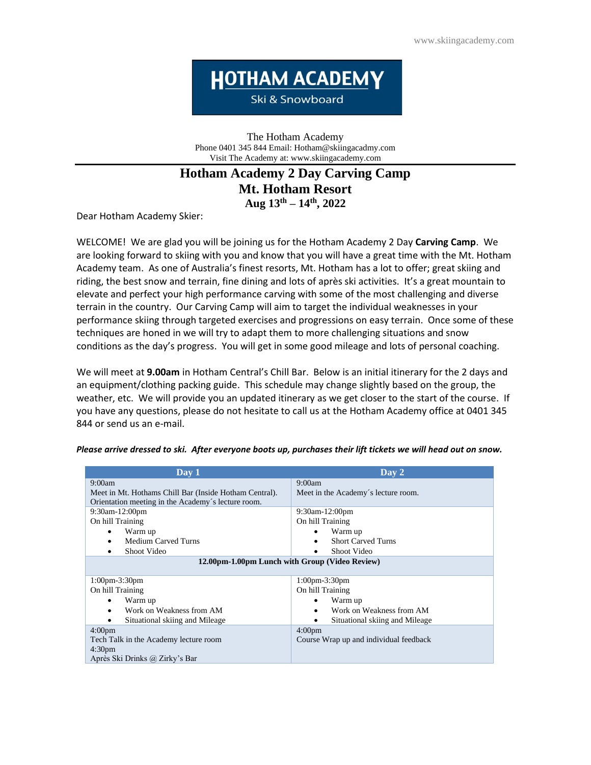**HOTHAM ACADEMY** 

Ski & Snowboard

The Hotham Academy Phone 0401 345 844 Email: Hotham@skiingacadmy.com Visit The Academy at: www.skiingacademy.com

# **Hotham Academy 2 Day Carving Camp Mt. Hotham Resort Aug 13 th – 14 th, 2022**

Dear Hotham Academy Skier:

WELCOME! We are glad you will be joining us for the Hotham Academy 2 Day **Carving Camp**. We are looking forward to skiing with you and know that you will have a great time with the Mt. Hotham Academy team. As one of Australia's finest resorts, Mt. Hotham has a lot to offer; great skiing and riding, the best snow and terrain, fine dining and lots of après ski activities. It's a great mountain to elevate and perfect your high performance carving with some of the most challenging and diverse terrain in the country. Our Carving Camp will aim to target the individual weaknesses in your performance skiing through targeted exercises and progressions on easy terrain. Once some of these techniques are honed in we will try to adapt them to more challenging situations and snow conditions as the day's progress. You will get in some good mileage and lots of personal coaching.

We will meet at **9.00am** in Hotham Central's Chill Bar. Below is an initial itinerary for the 2 days and an equipment/clothing packing guide. This schedule may change slightly based on the group, the weather, etc. We will provide you an updated itinerary as we get closer to the start of the course. If you have any questions, please do not hesitate to call us at the Hotham Academy office at 0401 345 844 or send us an e-mail.

| Day 1                                                  | Day 2                                  |
|--------------------------------------------------------|----------------------------------------|
| 9:00am                                                 | 9:00am                                 |
| Meet in Mt. Hothams Chill Bar (Inside Hotham Central). | Meet in the Academy's lecture room.    |
| Orientation meeting in the Academy's lecture room.     |                                        |
| $9:30$ am-12:00pm                                      | $9:30$ am-12:00pm                      |
| On hill Training                                       | On hill Training                       |
| Warm up<br>٠                                           | Warm up<br>٠                           |
| Medium Carved Turns<br>٠                               | <b>Short Carved Turns</b><br>٠         |
| Shoot Video<br>٠                                       | Shoot Video                            |
| 12.00pm-1.00pm Lunch with Group (Video Review)         |                                        |
|                                                        |                                        |
| $1:00$ pm-3:30pm                                       | $1:00$ pm-3:30pm                       |
| On hill Training                                       | On hill Training                       |
| Warm up<br>٠                                           | Warm up<br>٠                           |
| Work on Weakness from AM<br>٠                          | Work on Weakness from AM<br>٠          |
| Situational skiing and Mileage                         | Situational skiing and Mileage<br>٠    |
| 4:00 <sub>pm</sub>                                     | 4:00 <sub>pm</sub>                     |
| Tech Talk in the Academy lecture room                  | Course Wrap up and individual feedback |
| 4:30 <sub>pm</sub>                                     |                                        |
| Après Ski Drinks @ Zirky's Bar                         |                                        |

*Please arrive dressed to ski. After everyone boots up, purchases their lift tickets we will head out on snow.*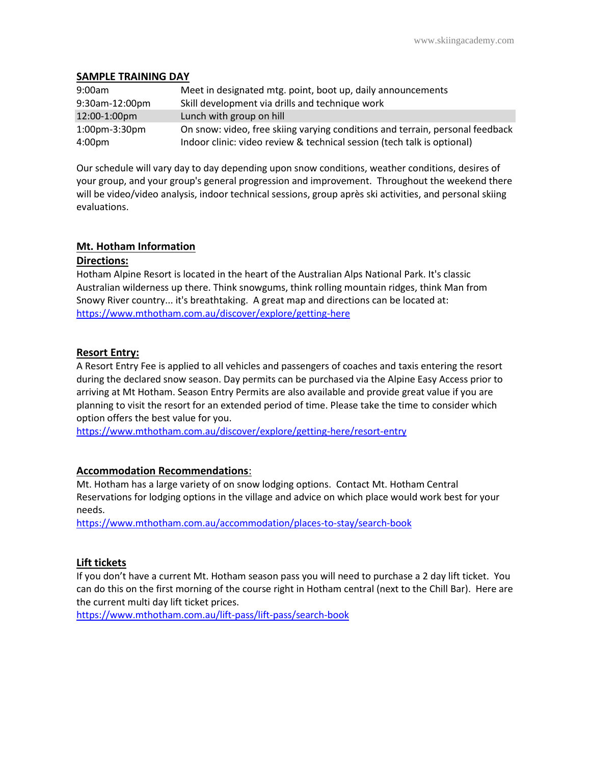## **SAMPLE TRAINING DAY**

| 9:00am               | Meet in designated mtg. point, boot up, daily announcements                   |
|----------------------|-------------------------------------------------------------------------------|
| 9:30am-12:00pm       | Skill development via drills and technique work                               |
| 12:00-1:00pm         | Lunch with group on hill                                                      |
| $1:00$ pm- $3:30$ pm | On snow: video, free skiing varying conditions and terrain, personal feedback |
| 4:00 <sub>pm</sub>   | Indoor clinic: video review & technical session (tech talk is optional)       |

Our schedule will vary day to day depending upon snow conditions, weather conditions, desires of your group, and your group's general progression and improvement. Throughout the weekend there will be video/video analysis, indoor technical sessions, group après ski activities, and personal skiing evaluations.

# **Mt. Hotham Information**

#### **Directions:**

Hotham Alpine Resort is located in the heart of the Australian Alps National Park. It's classic Australian wilderness up there. Think snowgums, think rolling mountain ridges, think Man from Snowy River country... it's breathtaking. A great map and directions can be located at: <https://www.mthotham.com.au/discover/explore/getting-here>

## **Resort Entry:**

A Resort Entry Fee is applied to all vehicles and passengers of coaches and taxis entering the resort during the declared snow season. Day permits can be purchased via the Alpine Easy Access prior to arriving at Mt Hotham. Season Entry Permits are also available and provide great value if you are planning to visit the resort for an extended period of time. Please take the time to consider which option offers the best value for you.

<https://www.mthotham.com.au/discover/explore/getting-here/resort-entry>

#### **Accommodation Recommendations**:

Mt. Hotham has a large variety of on snow lodging options. Contact Mt. Hotham Central Reservations for lodging options in the village and advice on which place would work best for your needs.

<https://www.mthotham.com.au/accommodation/places-to-stay/search-book>

# **Lift tickets**

If you don't have a current Mt. Hotham season pass you will need to purchase a 2 day lift ticket. You can do this on the first morning of the course right in Hotham central (next to the Chill Bar). Here are the current multi day lift ticket prices.

https://www.mthotham.com.au/lift-pass/lift-pass/search-book